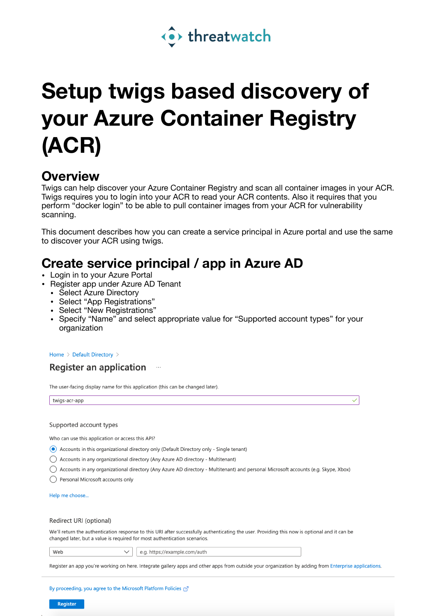

# **Setup twigs based discovery of your Azure Container Registry (ACR)**

### **Overview**

Twigs can help discover your Azure Container Registry and scan all container images in your ACR. Twigs requires you to login into your ACR to read your ACR contents. Also it requires that you perform "docker login" to be able to pull container images from your ACR for vulnerability scanning.

This document describes how you can create a service principal in Azure portal and use the same to discover your ACR using twigs.

## **Create service principal / app in Azure AD**

- Login in to your Azure Portal
- Register app under Azure AD Tenant
	- Select Azure Directory
	- Select "App Registrations"
	- Select "New Registrations"
	- Specify "Name" and select appropriate value for "Supported account types" for your organization

 $\checkmark$ 

Home > Default Directory >

### **Register an application**

The user-facing display name for this application (this can be changed later).

twigs-acr-app

#### Supported account types

Who can use this application or access this API?

(a) Accounts in this organizational directory only (Default Directory only - Single tenant)

- ◯ Accounts in any organizational directory (Any Azure AD directory Multitenant)
- Accounts in any organizational directory (Any Azure AD directory Multitenant) and personal Microsoft accounts (e.g. Skype, Xbox)
- ◯ Personal Microsoft accounts only

Help me choose.

#### Redirect URI (optional)

We'll return the authentication response to this URI after successfully authenticating the user. Providing this now is optional and it can be changed later, but a value is required for most authentication scenarios.

Web

e.g. https://example.com/auth  $\checkmark$ 

Register an app you're working on here. Integrate gallery apps and other apps from outside your organization by adding from Enterprise applications.

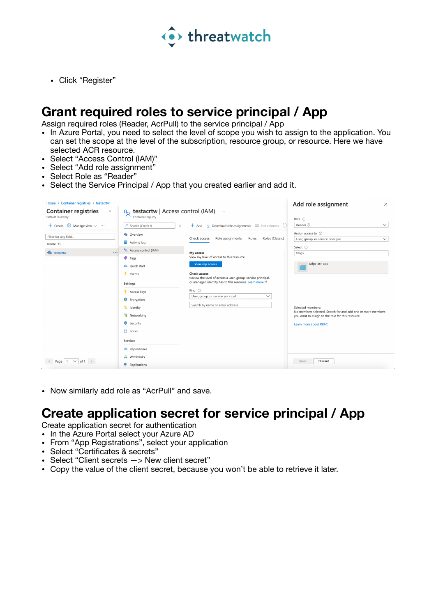

• Click "Register"

### **Grant required roles to service principal / App**

Assign required roles (Reader, AcrPull) to the service principal / App

- In Azure Portal, you need to select the level of scope you wish to assign to the application. You can set the scope at the level of the subscription, resource group, or resource. Here we have selected ACR resource.
- Select "Access Control (IAM)"
- Select "Add role assignment"
- Select Role as "Reader"
- Select the Service Principal / App that you created earlier and add it.

| Home > Container registries > testacrtw                   |                                                                                                                 |                                                                                                                                                | Add role assignment<br>$\times$                                                                                                                                |  |  |
|-----------------------------------------------------------|-----------------------------------------------------------------------------------------------------------------|------------------------------------------------------------------------------------------------------------------------------------------------|----------------------------------------------------------------------------------------------------------------------------------------------------------------|--|--|
| <b>Container registries</b><br>$\ll$<br>Default Directory | $\frac{1}{2}$ testacrtw   Access control (IAM)<br>Container registry                                            | $\ldots$                                                                                                                                       |                                                                                                                                                                |  |  |
| + Create $\frac{100}{200}$ Manage view $\vee$ $\cdots$    | O Search (Cmd+/)<br>$\ll$                                                                                       | $\pm$ Add $\sqrt{ }$ Download role assignments $\equiv$ Edit columns $\circ$                                                                   | Role $\odot$<br>Reader (i)<br>$\checkmark$                                                                                                                     |  |  |
| Filter for any field                                      | <b>Construction</b><br>Activity log                                                                             | Roles (Classic)<br>Check access<br>Role assignments<br>Roles                                                                                   | Assign access to 0<br>User, group, or service principal<br>$\checkmark$                                                                                        |  |  |
| Name 1<br><br><b>Restacrtw</b>                            | P <sub>R</sub> Access control (IAM)                                                                             | My access                                                                                                                                      | Select $\odot$<br>twigs                                                                                                                                        |  |  |
|                                                           | $\bullet$ Tags<br>4 Quick start                                                                                 | View my level of access to this resource.<br><b>View my access</b>                                                                             | twigs-acr-app                                                                                                                                                  |  |  |
|                                                           | $\frac{2}{7}$ Events                                                                                            | <b>Check access</b><br>Review the level of access a user, group, service principal,<br>or managed identity has to this resource. Learn more c' | Selected members:<br>No members selected. Search for and add one or more members<br>you want to assign to the role for this resource.<br>Learn more about RBAC |  |  |
|                                                           | Settings<br><b>Access keys</b><br><b>C</b> Encryption<br>& Identity<br>Networking<br>Security<br><b>A</b> Locks | Find $\odot$<br>User, group, or service principal<br>$\checkmark$<br>Search by name or email address                                           |                                                                                                                                                                |  |  |
|                                                           | Services<br><b>A</b> Repositories<br>& Webhooks                                                                 |                                                                                                                                                |                                                                                                                                                                |  |  |
| Page $1 \sqrt{61}$<br>$\,<$                               | Replications                                                                                                    |                                                                                                                                                | Discard<br>Save                                                                                                                                                |  |  |

• Now similarly add role as "AcrPull" and save.

### **Create application secret for service principal / App**

Create application secret for authentication

- In the Azure Portal select your Azure AD
- From "App Registrations", select your application
- Select "Certificates & secrets"
- Select "Client secrets —> New client secret"
- Copy the value of the client secret, because you won't be able to retrieve it later.